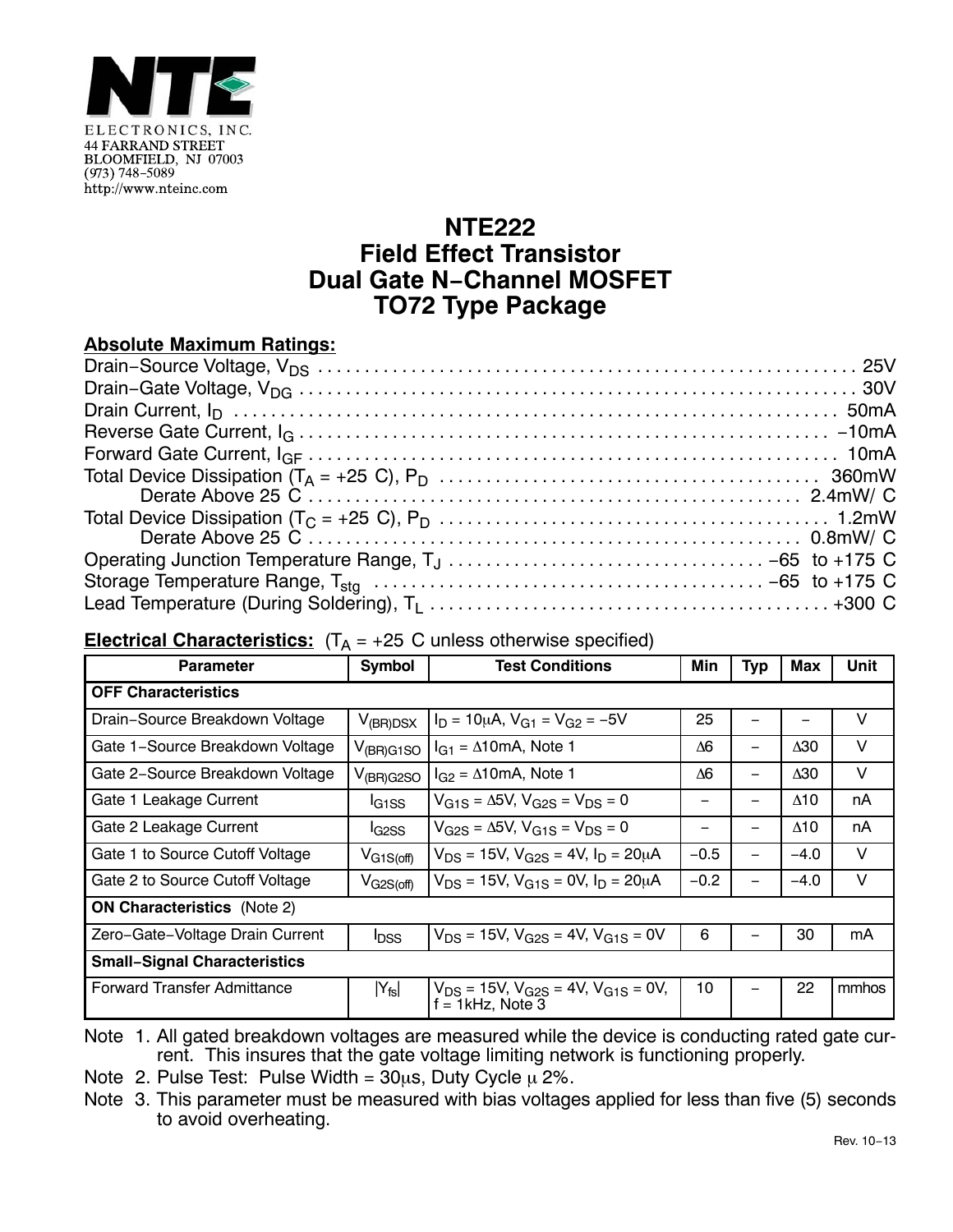

## **NTE222 Field Effect Transistor Dual Gate N−Channel MOSFET TO72 Type Package**

## **Absolute Maximum Ratings:**

## **Electrical Characteristics:**  $(T_A = +25 \text{ C}$  unless otherwise specified)

| <b>Parameter</b>                    | <b>Symbol</b>                  | <b>Test Conditions</b>                                                 | Min        | Typ | Max         | Unit  |
|-------------------------------------|--------------------------------|------------------------------------------------------------------------|------------|-----|-------------|-------|
| <b>OFF Characteristics</b>          |                                |                                                                        |            |     |             |       |
| Drain-Source Breakdown Voltage      | $V_{(BR)DSX}$                  | $I_D = 10 \mu A$ , $V_{G1} = V_{G2} = -5V$                             | 25         |     |             | V     |
| Gate 1-Source Breakdown Voltage     | $V_{(BR)G1SO}$                 | $I_{G1} = \Delta 10 \text{mA}$ , Note 1                                | $\Delta 6$ |     | $\Delta 30$ | V     |
| Gate 2-Source Breakdown Voltage     | $V_{(BR)G2SO}$                 | $I_{G2} = \Delta 10 \text{mA}$ , Note 1                                | Δ6         | -   | Δ30         | V     |
| Gate 1 Leakage Current              | <sup>I</sup> G <sub>1</sub> SS | $V_{G1S} = \Delta 5V$ , $V_{G2S} = V_{DS} = 0$                         |            |     | $\Delta$ 10 | nA    |
| Gate 2 Leakage Current              | l <sub>G2SS</sub>              | $V_{G2S} = \Delta 5V$ , $V_{G1S} = V_{DS} = 0$                         |            | —   | $\Delta$ 10 | nA    |
| Gate 1 to Source Cutoff Voltage     | $V_{G1S(off)}$                 | $V_{DS}$ = 15V, $V_{G2S}$ = 4V, $I_D$ = 20µA                           | $-0.5$     | —   | $-4.0$      | V     |
| Gate 2 to Source Cutoff Voltage     | $V_{G2S(off)}$                 | $V_{DS}$ = 15V, $V_{G1S}$ = 0V, $I_{D}$ = 20µA                         | $-0.2$     |     | $-4.0$      | V     |
| <b>ON Characteristics</b> (Note 2)  |                                |                                                                        |            |     |             |       |
| Zero-Gate-Voltage Drain Current     | <b>I</b> <sub>DSS</sub>        | $V_{DS}$ = 15V, $V_{G2S}$ = 4V, $V_{G1S}$ = 0V                         | 6          |     | 30          | mA    |
| <b>Small-Signal Characteristics</b> |                                |                                                                        |            |     |             |       |
| Forward Transfer Admittance         | $ Y_{fs} $                     | $V_{DS}$ = 15V, $V_{G2S}$ = 4V, $V_{G1S}$ = 0V,<br>$f = 1$ kHz, Note 3 | 10         |     | 22          | mmhos |

Note 1. All gated breakdown voltages are measured while the device is conducting rated gate current. This insures that the gate voltage limiting network is functioning properly.

Note 2. Pulse Test: Pulse Width =  $30\mu s$ , Duty Cycle  $\mu$  2%.

Note 3. This parameter must be measured with bias voltages applied for less than five (5) seconds to avoid overheating.